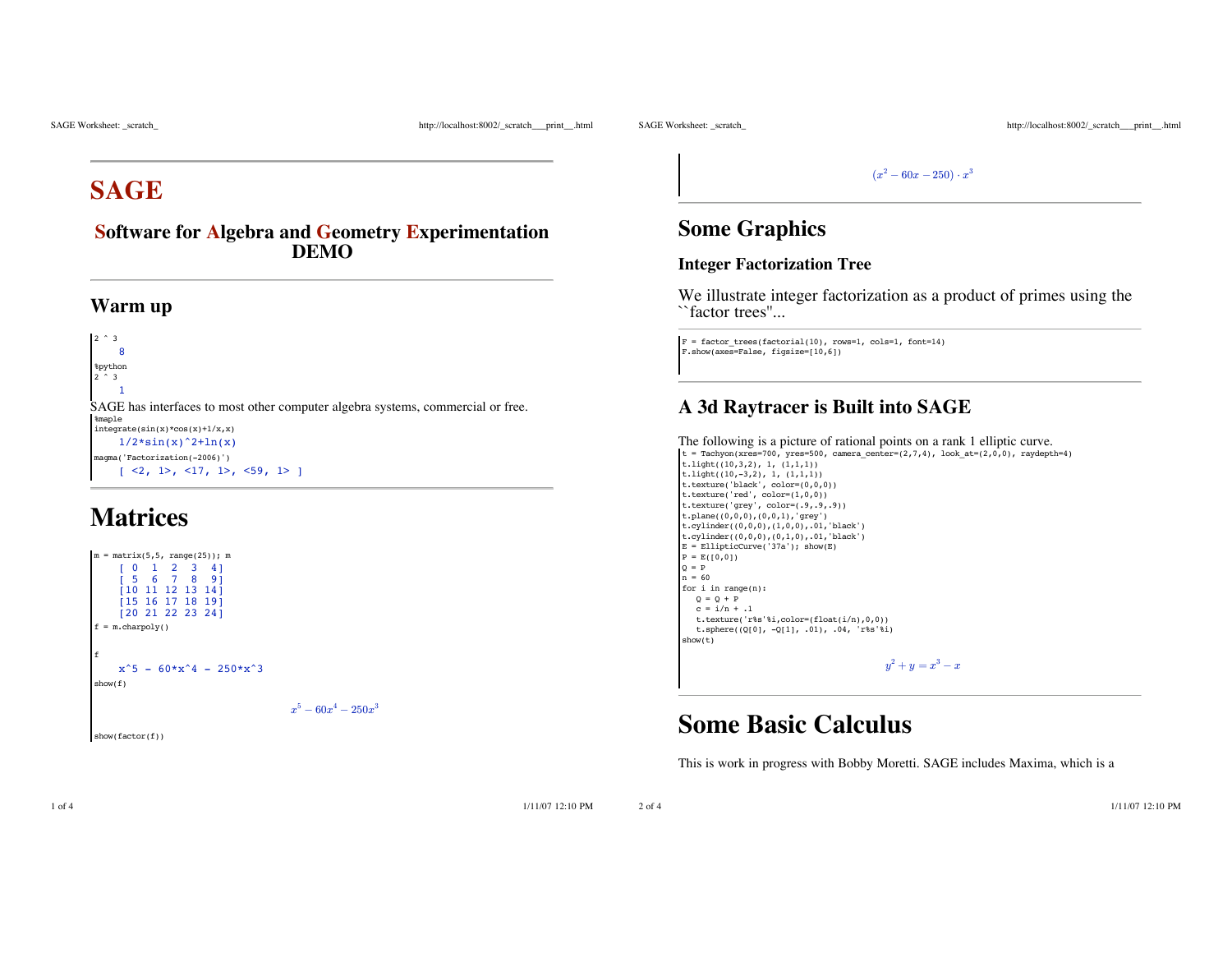SAGE Worksheet: \_scratch\_ http://localhost:8002/\_scratch\_\_\_print\_\_.html

SAGE Worksheet: \_scratch\_ http://localhost:8002/\_scratch\_\_\_print\_\_.html

# **SAGE**

**Software for Algebra and Geometry Experimentation DEMO**

#### **Warm up**

2 ^ 3 8 %python  $\sim$  3 1 SAGE has interfaces to most other computer algebra systems, commercial or free. %maple integrate(sin(x)\*cos(x)+1/x,x)  $1/2 \cdot \sin(x) \cdot 2 + \ln(x)$ magma('Factorization(-2006)')  $\lceil$  <2, 1>, <17, 1>, <59, 1> 1

# **Matrices**



show(factor(f))

 $(x^2 - 60x - 250) \cdot x^3$ 

### **Some Graphics**

#### **Integer Factorization Tree**

We illustrate integer factorization as a product of primes using the ``factor trees''...

F = factor\_trees(factorial(10), rows=1, cols=1, font=14) F.show(axes=False, figsize=[10,6])

### **A 3d Raytracer is Built into SAGE**

```
The following is a picture of rational points on a rank 1 elliptic curve. t = \text{Tachyon(xres=700, yres=500, camera\_center=(2,7,4), look_at=(2,0,0), raydepth=4})t.light((10,3,2), 1, (1,1,1))t.light((10,-3,2), 1, (1,1,1))
t.texture('black', color=(0,0,0))
t.texture('red', color=(1,0,0))
t.texture('grey', color=(.9,.9,.9))
t.plane((0,0,0),(0,0,1),'grey')
t.cylinder((0,0,0),(1,0,0),.01,'black')
t.cylinder((0,0,0),(0,1,0),.01,'black')
E = EllipticCurve('37a'); show(E)P = E([0, 0])Q = Pn = 60for i in range(n):
  Q = Q + Pc = i/n + .1t.texture('r%s'%i,color=(float(i/n),0,0))
   t.sphere((Q[0], -Q[1], .01), .04, 'r%s'%i)
 show(t)
                                           y^2 + y = x^3 - x
```
## **Some Basic Calculus**

This is work in progress with Bobby Moretti. SAGE includes Maxima, which is a